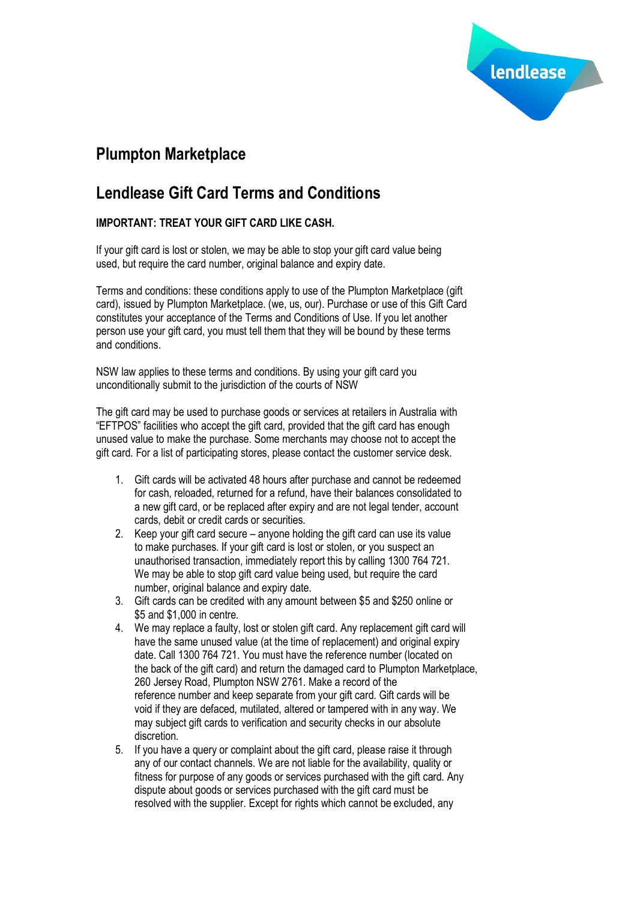

# **Plumpton Marketplace**

## **Lendlease Gift Card Terms and Conditions**

## **IMPORTANT: TREAT YOUR GIFT CARD LIKE CASH.**

If your gift card is lost or stolen, we may be able to stop your gift card value being used, but require the card number, original balance and expiry date.

Terms and conditions: these conditions apply to use of the Plumpton Marketplace (gift card), issued by Plumpton Marketplace. (we, us, our). Purchase or use of this Gift Card constitutes your acceptance of the Terms and Conditions of Use. If you let another person use your gift card, you must tell them that they will be bound by these terms and conditions.

NSW law applies to these terms and conditions. By using your gift card you unconditionally submit to the jurisdiction of the courts of NSW

The gift card may be used to purchase goods or services at retailers in Australia with "EFTPOS" facilities who accept the gift card, provided that the gift card has enough unused value to make the purchase. Some merchants may choose not to accept the gift card. For a list of participating stores, please contact the customer service desk.

- 1. Gift cards will be activated 48 hours after purchase and cannot be redeemed for cash, reloaded, returned for a refund, have their balances consolidated to a new gift card, or be replaced after expiry and are not legal tender, account cards, debit or credit cards or securities.
- 2. Keep your gift card secure anyone holding the gift card can use its value to make purchases. If your gift card is lost or stolen, or you suspect an unauthorised transaction, immediately report this by calling 1300 764 721. We may be able to stop gift card value being used, but require the card number, original balance and expiry date.
- 3. Gift cards can be credited with any amount between \$5 and \$250 online or \$5 and \$1,000 in centre.
- 4. We may replace a faulty, lost or stolen gift card. Any replacement gift card will have the same unused value (at the time of replacement) and original expiry date. Call 1300 764 721. You must have the reference number (located on the back of the gift card) and return the damaged card to Plumpton Marketplace, 260 Jersey Road, Plumpton NSW 2761. Make a record of the reference number and keep separate from your gift card. Gift cards will be void if they are defaced, mutilated, altered or tampered with in any way. We may subject gift cards to verification and security checks in our absolute discretion.
- 5. If you have a query or complaint about the gift card, please raise it through any of our contact channels. We are not liable for the availability, quality or fitness for purpose of any goods or services purchased with the gift card. Any dispute about goods or services purchased with the gift card must be resolved with the supplier. Except for rights which cannot be excluded, any